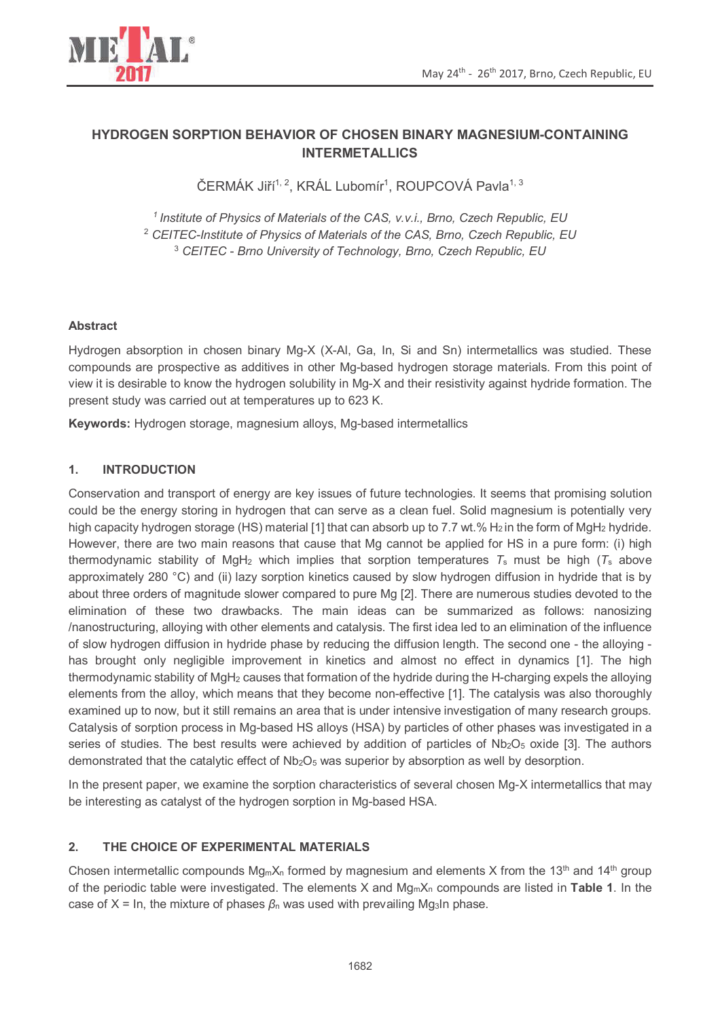

# **HYDROGEN SORPTION BEHAVIOR OF CHOSEN BINARY MAGNESIUM-CONTAINING INTERMETALLICS**

ČERMÁK Jiří<sup>1, 2</sup>, KRÁL Lubomír<sup>1</sup>, ROUPCOVÁ Pavla<sup>1, 3</sup>

*<sup>1</sup>Institute of Physics of Materials of the CAS, v.v.i., Brno, Czech Republic, EU*  <sup>2</sup> *CEITEC-Institute of Physics of Materials of the CAS, Brno, Czech Republic, EU*  <sup>3</sup> *CEITEC* - *Brno University of Technology, Brno, Czech Republic, EU*

## **Abstract**

Hydrogen absorption in chosen binary Mg-X (X-Al, Ga, In, Si and Sn) intermetallics was studied. These compounds are prospective as additives in other Mg-based hydrogen storage materials. From this point of view it is desirable to know the hydrogen solubility in Mg-X and their resistivity against hydride formation. The present study was carried out at temperatures up to 623 K.

**Keywords:** Hydrogen storage, magnesium alloys, Mg-based intermetallics

## **1. INTRODUCTION**

Conservation and transport of energy are key issues of future technologies. It seems that promising solution could be the energy storing in hydrogen that can serve as a clean fuel. Solid magnesium is potentially very high capacity hydrogen storage (HS) material [1] that can absorb up to 7.7 wt.% H<sub>2</sub> in the form of MgH<sub>2</sub> hydride. However, there are two main reasons that cause that Mg cannot be applied for HS in a pure form: (i) high thermodynamic stability of MgH2 which implies that sorption temperatures *T*s must be high (*T*s above approximately 280 °C) and (ii) lazy sorption kinetics caused by slow hydrogen diffusion in hydride that is by about three orders of magnitude slower compared to pure Mg [2]. There are numerous studies devoted to the elimination of these two drawbacks. The main ideas can be summarized as follows: nanosizing /nanostructuring, alloying with other elements and catalysis. The first idea led to an elimination of the influence of slow hydrogen diffusion in hydride phase by reducing the diffusion length. The second one - the alloying has brought only negligible improvement in kinetics and almost no effect in dynamics [1]. The high thermodynamic stability of MgH2 causes that formation of the hydride during the H-charging expels the alloying elements from the alloy, which means that they become non-effective [1]. The catalysis was also thoroughly examined up to now, but it still remains an area that is under intensive investigation of many research groups. Catalysis of sorption process in Mg-based HS alloys (HSA) by particles of other phases was investigated in a series of studies. The best results were achieved by addition of particles of  $Nb<sub>2</sub>O<sub>5</sub>$  oxide [3]. The authors demonstrated that the catalytic effect of  $Nb_2O_5$  was superior by absorption as well by desorption.

In the present paper, we examine the sorption characteristics of several chosen Mg-X intermetallics that may be interesting as catalyst of the hydrogen sorption in Mg-based HSA.

#### **2. THE CHOICE OF EXPERIMENTAL MATERIALS**

Chosen intermetallic compounds  $Mg_mX_n$  formed by magnesium and elements X from the 13<sup>th</sup> and 14<sup>th</sup> group of the periodic table were investigated. The elements X and MgmXn compounds are listed in **Table 1**. In the case of  $X = In$ , the mixture of phases  $\beta_n$  was used with prevailing Mg<sub>3</sub>In phase.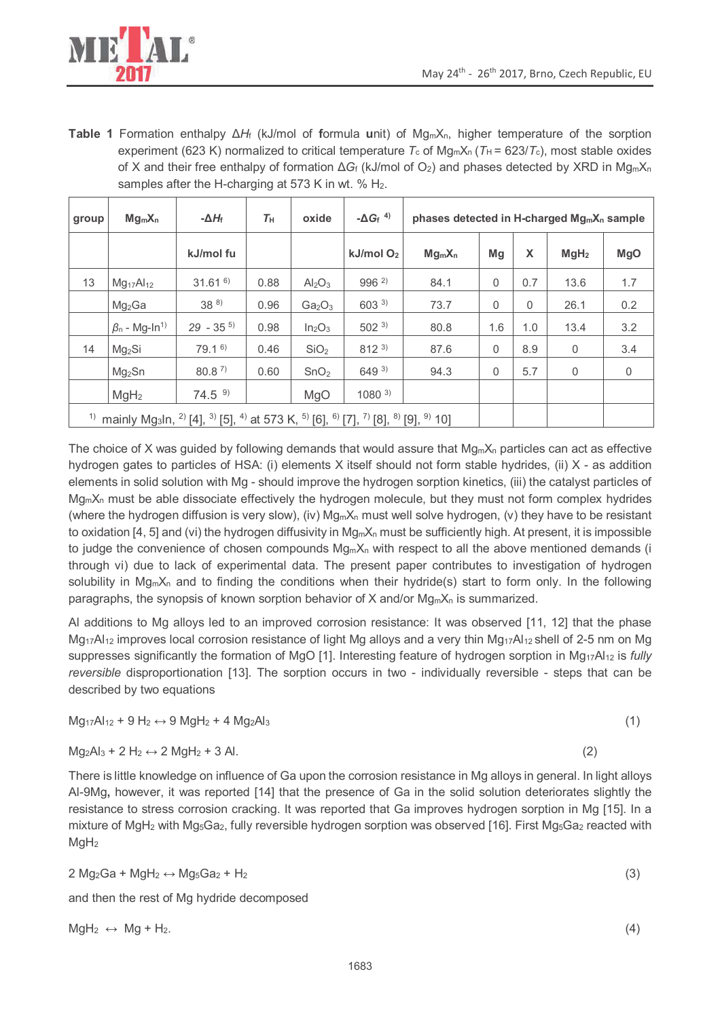

**Table 1** Formation enthalpy Δ*H*f (kJ/mol of **f**ormula **u**nit) of MgmXn, higher temperature of the sorption experiment (623 K) normalized to critical temperature  $T_c$  of Mg<sub>m</sub>X<sub>n</sub> ( $T_H$  = 623/ $T_c$ ), most stable oxides of X and their free enthalpy of formation Δ*G*f (kJ/mol of O2) and phases detected by XRD in MgmX<sup>n</sup> samples after the H-charging at 573 K in wt. % H<sub>2</sub>.

| group                                                                                                                                                                                                | $Mg_mX_n$                       | $-\Delta H_f$     | $T_{\rm H}$ | oxide                          | $-\Delta G_f$ <sup>4)</sup> | phases detected in H-charged Mg <sub>m</sub> X <sub>n</sub> sample |          |     |                  |             |
|------------------------------------------------------------------------------------------------------------------------------------------------------------------------------------------------------|---------------------------------|-------------------|-------------|--------------------------------|-----------------------------|--------------------------------------------------------------------|----------|-----|------------------|-------------|
|                                                                                                                                                                                                      |                                 | kJ/mol fu         |             |                                | $kJ/mol$ O <sub>2</sub>     | $Mg_mX_n$                                                          | Mq       | X   | MgH <sub>2</sub> | <b>MgO</b>  |
| 13                                                                                                                                                                                                   | $Mg_{17}Al_{12}$                | $31.61^{6}$       | 0.88        | Al <sub>2</sub> O <sub>3</sub> | $996^{2}$                   | 84.1                                                               | $\Omega$ | 0.7 | 13.6             | 1.7         |
|                                                                                                                                                                                                      | Mg <sub>2</sub> Ga              | $38^{8}$          | 0.96        | Ga <sub>2</sub> O <sub>3</sub> | 603 3)                      | 73.7                                                               | $\Omega$ | 0   | 26.1             | 0.2         |
|                                                                                                                                                                                                      | $\beta_n$ - Mg-In <sup>1)</sup> | $29 - 35^{5}$     | 0.98        | In <sub>2</sub> O <sub>3</sub> | $502^{3}$                   | 80.8                                                               | 1.6      | 1.0 | 13.4             | 3.2         |
| 14                                                                                                                                                                                                   | Mg <sub>2</sub> Si              | 79.1 <sup>6</sup> | 0.46        | SiO <sub>2</sub>               | $812^{3}$                   | 87.6                                                               | $\Omega$ | 8.9 | $\mathbf{0}$     | 3.4         |
|                                                                                                                                                                                                      | Mg <sub>2</sub> Sn              | 80.8 <sup>7</sup> | 0.60        | SnO <sub>2</sub>               | $649^{3}$                   | 94.3                                                               | $\Omega$ | 5.7 | $\mathbf{0}$     | $\mathbf 0$ |
|                                                                                                                                                                                                      | MgH <sub>2</sub>                | 74.5 <sup>9</sup> |             | MgO                            | $1080^{3}$                  |                                                                    |          |     |                  |             |
| mainly Mg <sub>3</sub> ln, <sup>2</sup> ) [4], <sup>3</sup> ) [5], <sup>4</sup> ) at 573 K, <sup>5</sup> ) [6], <sup>6</sup> ) [7], <sup>7</sup> ) [8], <sup>8</sup> ) [9], <sup>9</sup> ) 10]<br>1) |                                 |                   |             |                                |                             |                                                                    |          |     |                  |             |

The choice of X was guided by following demands that would assure that  $Mg_mX_n$  particles can act as effective hydrogen gates to particles of HSA: (i) elements X itself should not form stable hydrides, (ii) X - as addition elements in solid solution with Mg - should improve the hydrogen sorption kinetics, (iii) the catalyst particles of  $Mq_mX_n$  must be able dissociate effectively the hydrogen molecule, but they must not form complex hydrides (where the hydrogen diffusion is very slow), (iv)  $Mg_mX_n$  must well solve hydrogen, (v) they have to be resistant to oxidation [4, 5] and (vi) the hydrogen diffusivity in  $Mg_mX_n$  must be sufficiently high. At present, it is impossible to judge the convenience of chosen compounds  $Mg_mX_n$  with respect to all the above mentioned demands (i through vi) due to lack of experimental data. The present paper contributes to investigation of hydrogen solubility in  $Mg_mX_n$  and to finding the conditions when their hydride(s) start to form only. In the following paragraphs, the synopsis of known sorption behavior of X and/or  $Mg_mX_n$  is summarized.

Al additions to Mg alloys led to an improved corrosion resistance: It was observed [11, 12] that the phase Mg<sub>17</sub>Al<sub>12</sub> improves local corrosion resistance of light Mg alloys and a very thin Mg<sub>17</sub>Al<sub>12</sub> shell of 2-5 nm on Mg suppresses significantly the formation of MgO [1]. Interesting feature of hydrogen sorption in Mg17Al12 is *fully reversible* disproportionation [13]. The sorption occurs in two - individually reversible - steps that can be described by two equations

 $Mg_17Al_12 + 9H_2 \leftrightarrow 9MgH_2 + 4Mg_2Al_3$  (1)

$$
Mg_2Al_3 + 2 H_2 \leftrightarrow 2 MgH_2 + 3 Al. \tag{2}
$$

There is little knowledge on influence of Ga upon the corrosion resistance in Mg alloys in general. In light alloys Al-9Mg**,** however, it was reported [14] that the presence of Ga in the solid solution deteriorates slightly the resistance to stress corrosion cracking. It was reported that Ga improves hydrogen sorption in Mg [15]. In a mixture of MgH<sub>2</sub> with Mg<sub>5</sub>Ga<sub>2</sub>, fully reversible hydrogen sorption was observed [16]. First Mg<sub>5</sub>Ga<sub>2</sub> reacted with  $MqH<sub>2</sub>$ 

 $2 \text{ Mg}_2\text{Ga} + \text{ MgH}_2 \leftrightarrow \text{ Mg}_5\text{Ga}_2 + \text{H}_2$  (3)

and then the rest of Mg hydride decomposed

 $MgH_2 \leftrightarrow Mg + H_2$ . (4)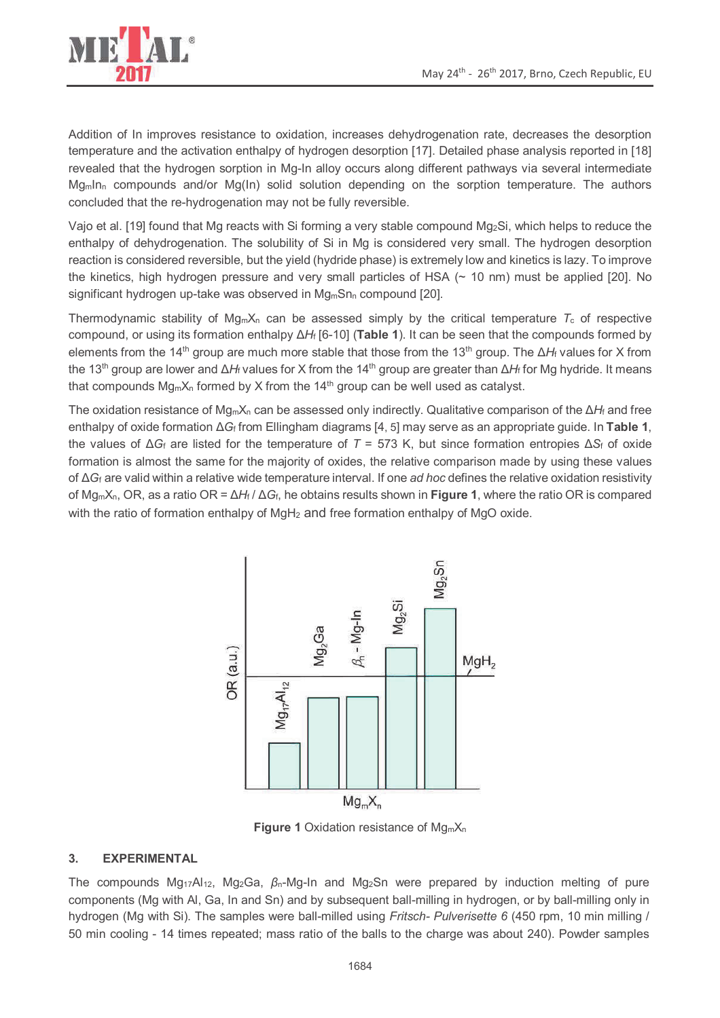

Addition of In improves resistance to oxidation, increases dehydrogenation rate, decreases the desorption temperature and the activation enthalpy of hydrogen desorption [17]. Detailed phase analysis reported in [18] revealed that the hydrogen sorption in Mg-In alloy occurs along different pathways via several intermediate  $Mq<sub>m</sub>ln<sub>n</sub>$  compounds and/or  $Mq(ln)$  solid solution depending on the sorption temperature. The authors concluded that the re-hydrogenation may not be fully reversible.

Vajo et al. [19] found that Mg reacts with Si forming a very stable compound Mg2Si, which helps to reduce the enthalpy of dehydrogenation. The solubility of Si in Mg is considered very small. The hydrogen desorption reaction is considered reversible, but the yield (hydride phase) is extremely low and kinetics is lazy. To improve the kinetics, high hydrogen pressure and very small particles of HSA (~ 10 nm) must be applied [20]. No significant hydrogen up-take was observed in  $Mg_mSn_n$  compound [20].

Thermodynamic stability of  $Mq_mX_n$  can be assessed simply by the critical temperature  $T_c$  of respective compound, or using its formation enthalpy Δ*H*f [6-10] (**Table 1**). It can be seen that the compounds formed by elements from the 14<sup>th</sup> group are much more stable that those from the 13<sup>th</sup> group. The ΔH<sub>f</sub> values for X from the 13<sup>th</sup> group are lower and ΔH<sub>f</sub> values for X from the 14<sup>th</sup> group are greater than ΔH<sub>f</sub> for Mg hydride. It means that compounds  $Mg_mX_n$  formed by X from the 14<sup>th</sup> group can be well used as catalyst.

The oxidation resistance of MgmXn can be assessed only indirectly. Qualitative comparison of the Δ*H*f and free enthalpy of oxide formation Δ*G*f from Ellingham diagrams [4, 5] may serve as an appropriate guide. In **Table 1**, the values of  $\Delta G_f$  are listed for the temperature of  $T = 573$  K, but since formation entropies  $\Delta S_f$  of oxide formation is almost the same for the majority of oxides, the relative comparison made by using these values of Δ*G*f are valid within a relative wide temperature interval. If one *ad hoc* defines the relative oxidation resistivity of MgmXn, OR, as a ratio OR = Δ*H*f / Δ*G*f, he obtains results shown in **Figure 1**, where the ratio OR is compared with the ratio of formation enthalpy of MgH<sub>2</sub> and free formation enthalpy of MgO oxide.



**Figure 1** Oxidation resistance of Mg<sub>m</sub>X<sub>n</sub>

#### **3. EXPERIMENTAL**

The compounds Mg17Al12, Mg2Ga, *β*n-Mg-In and Mg2Sn were prepared by induction melting of pure components (Mg with Al, Ga, In and Sn) and by subsequent ball-milling in hydrogen, or by ball-milling only in hydrogen (Mg with Si). The samples were ball-milled using *Fritsch- Pulverisette 6* (450 rpm, 10 min milling / 50 min cooling - 14 times repeated; mass ratio of the balls to the charge was about 240). Powder samples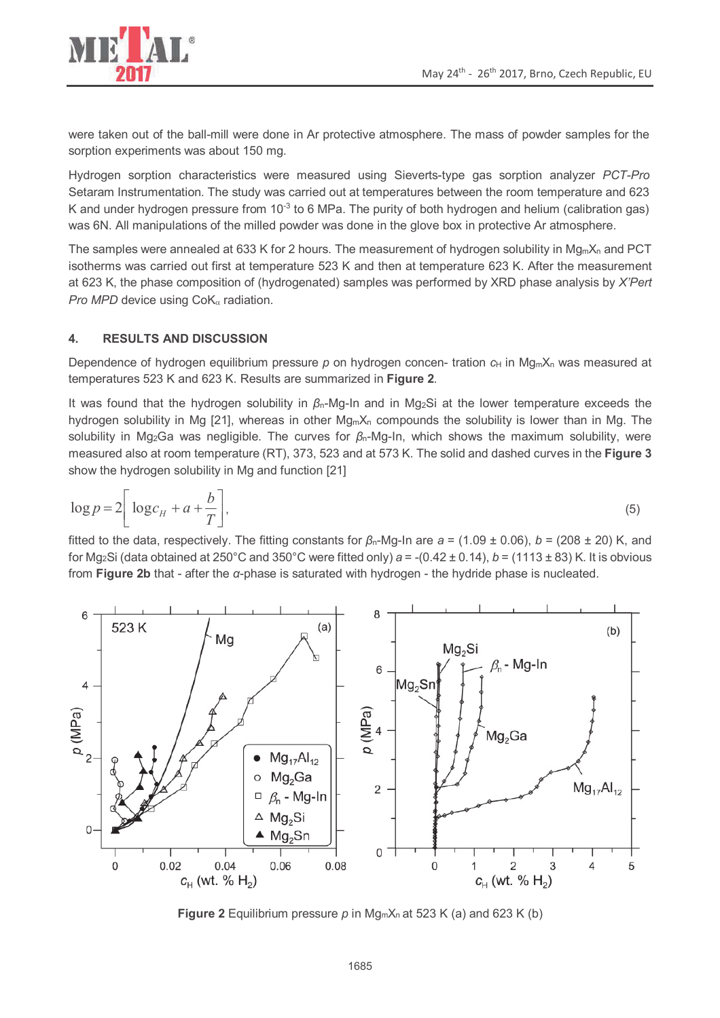

were taken out of the ball-mill were done in Ar protective atmosphere. The mass of powder samples for the sorption experiments was about 150 mg.

Hydrogen sorption characteristics were measured using Sieverts-type gas sorption analyzer *PCT-Pro* Setaram Instrumentation. The study was carried out at temperatures between the room temperature and 623 K and under hydrogen pressure from  $10^{-3}$  to 6 MPa. The purity of both hydrogen and helium (calibration gas) was 6N. All manipulations of the milled powder was done in the glove box in protective Ar atmosphere.

The samples were annealed at 633 K for 2 hours. The measurement of hydrogen solubility in  $Mg_mX_n$  and PCT isotherms was carried out first at temperature 523 K and then at temperature 623 K. After the measurement at 623 K, the phase composition of (hydrogenated) samples was performed by XRD phase analysis by *X'Pert Pro MPD* device using CoKα radiation.

## **4. RESULTS AND DISCUSSION**

Dependence of hydrogen equilibrium pressure  $p$  on hydrogen concen- tration  $c_H$  in Mg<sub>m</sub>X<sub>n</sub> was measured at temperatures 523 K and 623 K. Results are summarized in **Figure 2**.

It was found that the hydrogen solubility in *β*n-Mg-In and in Mg2Si at the lower temperature exceeds the hydrogen solubility in Mg [21], whereas in other  $M_{\text{cm}}X_{n}$  compounds the solubility is lower than in Mg. The solubility in Mg2Ga was negligible. The curves for *β*n-Mg-In, which shows the maximum solubility, were measured also at room temperature (RT), 373, 523 and at 573 K. The solid and dashed curves in the **Figure 3** show the hydrogen solubility in Mg and function [21]

$$
\log p = 2 \left[ \log c_H + a + \frac{b}{T} \right],\tag{5}
$$

fitted to the data, respectively. The fitting constants for *β*n-Mg-In are *a* = (1.09 ± 0.06), *b* = (208 ± 20) K, and for Mg<sub>2</sub>Si (data obtained at 250°C and 350°C were fitted only)  $a = -(0.42 \pm 0.14)$ ,  $b = (1113 \pm 83)$  K. It is obvious from **Figure 2b** that - after the *α*-phase is saturated with hydrogen - the hydride phase is nucleated.



**Figure 2** Equilibrium pressure  $p$  in Mg<sub>m</sub> $X_n$  at 523 K (a) and 623 K (b)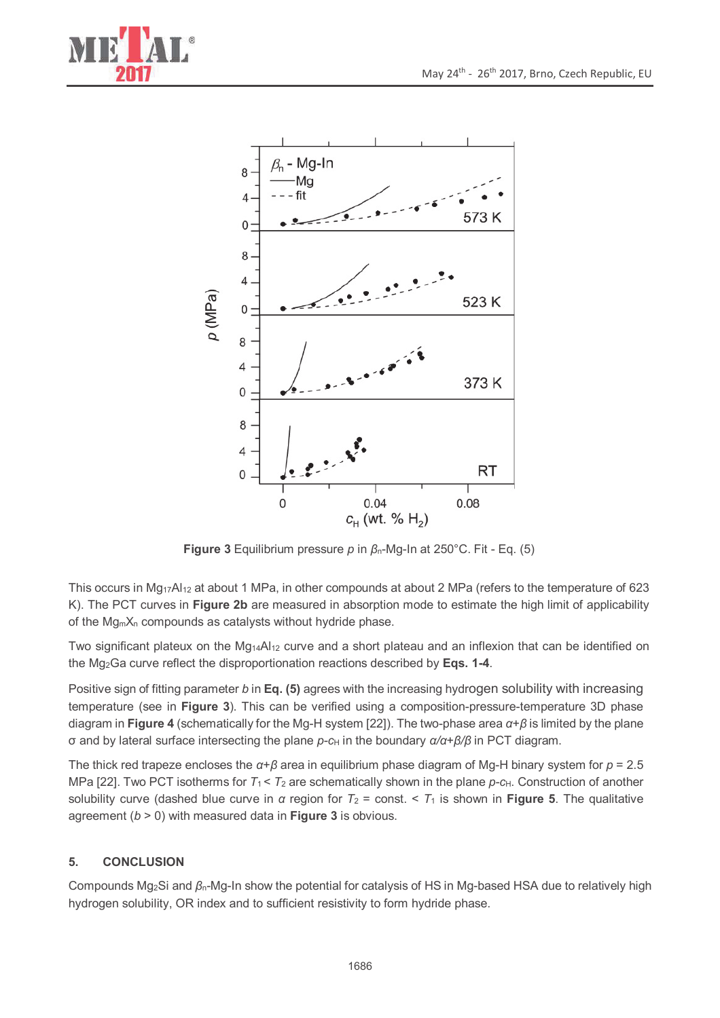



**Figure 3** Equilibrium pressure *p* in *β*n-Mg-In at 250°C. Fit - Eq. (5)

This occurs in Mg<sub>17</sub>Al<sub>12</sub> at about 1 MPa, in other compounds at about 2 MPa (refers to the temperature of 623 K). The PCT curves in **Figure 2b** are measured in absorption mode to estimate the high limit of applicability of the Mg<sub>m</sub>X<sub>n</sub> compounds as catalysts without hydride phase.

Two significant plateux on the Mg<sub>14</sub>Al<sub>12</sub> curve and a short plateau and an inflexion that can be identified on the Mg2Ga curve reflect the disproportionation reactions described by **Eqs. 1-4**.

Positive sign of fitting parameter *b* in **Eq. (5)** agrees with the increasing hydrogen solubility with increasing temperature (see in **Figure 3**). This can be verified using a composition-pressure-temperature 3D phase diagram in **Figure 4** (schematically for the Mg-H system [22]). The two-phase area *α*+*β* is limited by the plane σ and by lateral surface intersecting the plane *p*-*c*<sub>H</sub> in the boundary *α/α*+*β/β* in PCT diagram.

The thick red trapeze encloses the *α*+*β* area in equilibrium phase diagram of Mg-H binary system for *p* = 2.5 MPa [22]. Two PCT isotherms for  $T_1 < T_2$  are schematically shown in the plane  $p$ -c<sub>H</sub>. Construction of another solubility curve (dashed blue curve in *α* region for *T*2 = const. < *T*1 is shown in **Figure 5**. The qualitative agreement (*b* > 0) with measured data in **Figure 3** is obvious.

## **5. CONCLUSION**

Compounds Mg2Si and *β*n-Mg-In show the potential for catalysis of HS in Mg-based HSA due to relatively high hydrogen solubility, OR index and to sufficient resistivity to form hydride phase.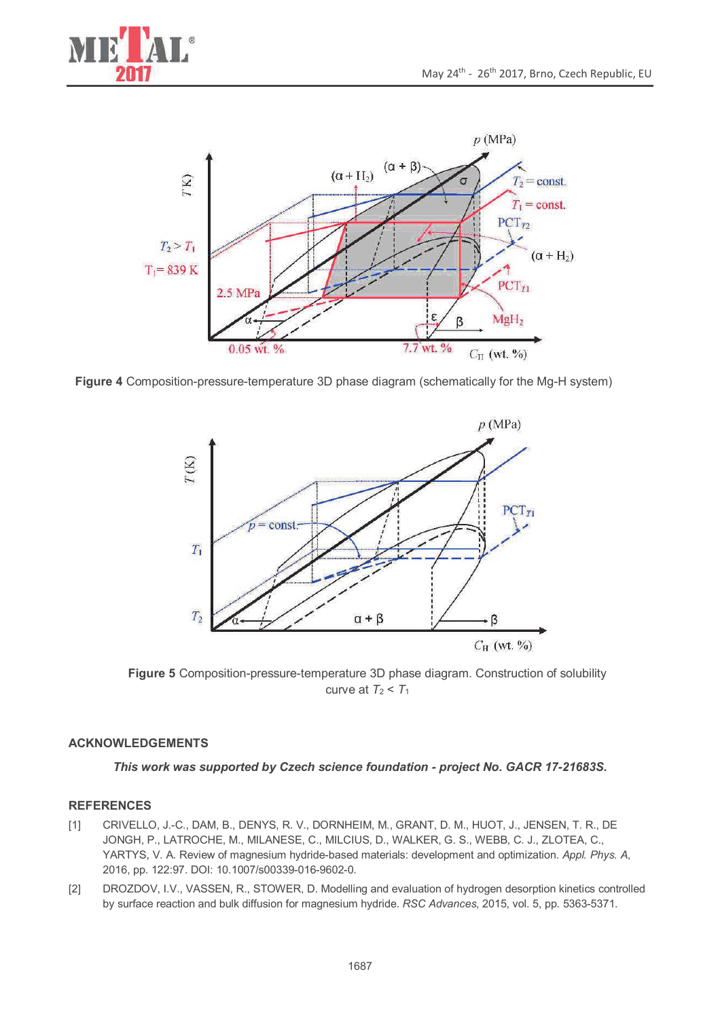



**Figure 4** Composition-pressure-temperature 3D phase diagram (schematically for the Mg-H system)



**Figure 5** Composition-pressure-temperature 3D phase diagram. Construction of solubility curve at  $T_2 < T_1$ 

#### **ACKNOWLEDGEMENTS**

*This work was supported by Czech science foundation - project No. GACR 17-21683S.* 

## **REFERENCES**

- [1] CRIVELLO, J.-C., DAM, B., DENYS, R. V., DORNHEIM, M., GRANT, D. M., HUOT, J., JENSEN, T. R., DE JONGH, P., LATROCHE, M., MILANESE, C., MILCIUS, D., WALKER, G. S., WEBB, C. J., ZLOTEA, C., YARTYS, V. A. Review of magnesium hydride-based materials: development and optimization. *Appl. Phys. A*, 2016, pp. 122:97. DOI: 10.1007/s00339-016-9602-0.
- [2] DROZDOV, I.V., VASSEN, R., STOWER, D. Modelling and evaluation of hydrogen desorption kinetics controlled by surface reaction and bulk diffusion for magnesium hydride. *RSC Advances*, 2015, vol. 5, pp. 5363-5371.